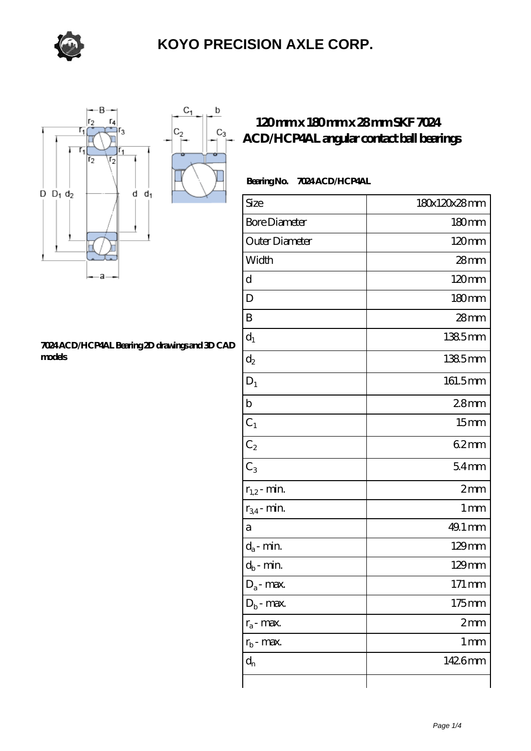

 $\sf b$ 

 $C_3$ 



#### **[7024 ACD/HCP4AL Bearing 2D drawings and 3D CAD](https://m.sazsc.com/pic-168401.html) [models](https://m.sazsc.com/pic-168401.html)**

### **[120 mm x 180 mm x 28 mm SKF 7024](https://m.sazsc.com/af-168401-skf-7024-acd-hcp4al-angular-contact-ball-bearings.html) [ACD/HCP4AL angular contact ball bearings](https://m.sazsc.com/af-168401-skf-7024-acd-hcp4al-angular-contact-ball-bearings.html)**

### **Bearing No. 7024 ACD/HCP4AL**

| Size                 | 180x120x28mm        |
|----------------------|---------------------|
| <b>Bore Diameter</b> | $180 \text{mm}$     |
| Outer Diameter       | 120mm               |
| Width                | 28mm                |
| d                    | 120mm               |
| D                    | 180mm               |
| B                    | $28$ mm             |
| $d_1$                | 1385mm              |
| $d_2$                | 1385mm              |
| $D_1$                | 161.5mm             |
| $\mathbf b$          | 28 <sub>mm</sub>    |
| $C_1$                | 15 <sub>mm</sub>    |
| $C_2$                | 62mm                |
| $C_3$                | 54 <sub>mm</sub>    |
| $r_{1,2}$ - min.     | 2mm                 |
| $r_{34}$ - min.      | 1 <sub>mm</sub>     |
| а                    | 49.1 mm             |
| $d_a$ - min.         | $129$ mm            |
| $d_b$ - min.         | $129$ mm            |
| $D_a$ - max.         | $171 \,\mathrm{mm}$ |
| $D_b$ - max.         | $175$ mm            |
| $r_a$ - max.         | 2mm                 |
| $r_{\rm b}$ - max.   | 1 <sub>mm</sub>     |
| $d_{n}$              | 1426mm              |
|                      |                     |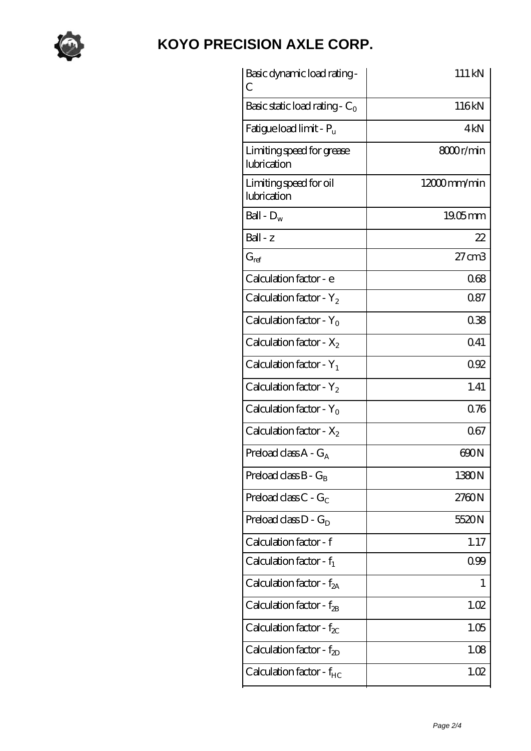

| Basic dynamic load rating-<br>С          | 111 kN            |
|------------------------------------------|-------------------|
| Basic static load rating - $C_0$         | 116kN             |
| Fatigue load limit - $P_{\rm u}$         | 4kN               |
| Limiting speed for grease<br>lubrication | 8000r/min         |
| Limiting speed for oil<br>lubrication    | 12000mm/min       |
| Ball - $D_w$                             | $19.05$ mm        |
| Ball - z                                 | 22                |
| $G_{ref}$                                | $27 \text{ cm}$ 3 |
| Calculation factor - e                   | 068               |
| Calculation factor - $Y_2$               | 0.87              |
| Calculation factor - $Y_0$               | 038               |
| Calculation factor - $X_2$               | 041               |
| Calculation factor - $Y_1$               | 092               |
| Calculation factor - $Y_2$               | 1.41              |
| Calculation factor - $Y_0$               | 0.76              |
| Calculation factor - $X_2$               | 067               |
| Preload class $A - G_A$                  | 600N              |
| Preload class $B - G_B$                  | 1380N             |
| Preload class $C - G_C$                  | 2760N             |
| Preload class $D - G_D$                  | 5520N             |
| Calculation factor - f                   | 1.17              |
| Calculation factor - $f_1$               | 099               |
| Calculation factor - $f_{2A}$            | 1                 |
| Calculation factor - $f_{\rm 2B}$        | 1.02              |
| Calculation factor - $f_{\chi}$          | 1.05              |
| Calculation factor - $f_{2D}$            | 1.08              |
| Calculation factor - $f_{HC}$            | 1.02              |
|                                          |                   |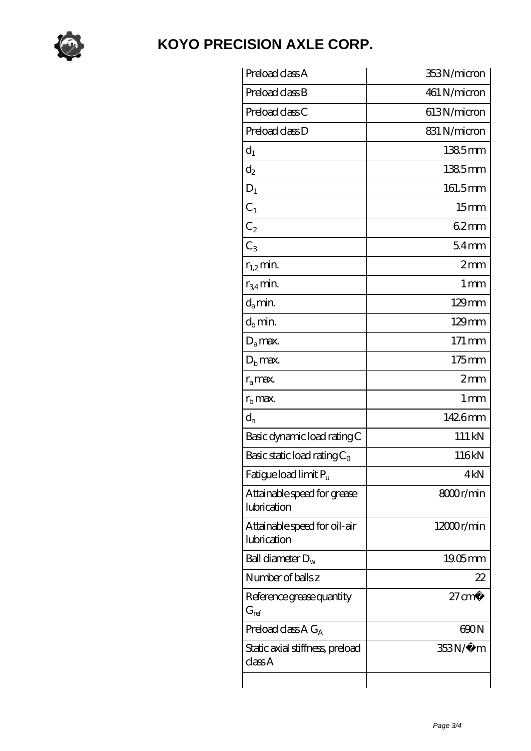

| Preload class A                             | 353N/micron          |
|---------------------------------------------|----------------------|
| Preload class B                             | 461 N/micron         |
| Preload class C                             | 613N/micron          |
| Preload class D                             | 831 N/micron         |
| $d_1$                                       | 1385mm               |
| $d_2$                                       | 1385mm               |
| $D_1$                                       | 161.5mm              |
| $C_1$                                       | 15 <sub>mm</sub>     |
| $C_2$                                       | 62mm                 |
| $C_3$                                       | 54 <sub>mm</sub>     |
| $r_{1,2}$ min.                              | 2mm                  |
| $r_{34}$ min.                               | $1 \,\mathrm{mm}$    |
| $d_a$ min.                                  | $129$ mm             |
| $d_b$ min.                                  | $129$ mm             |
| $D_a$ max.                                  | 171 mm               |
| $D_{b}$ max.                                | $175$ mm             |
| $r_a$ max.                                  | $2 \text{mm}$        |
| $r_{\rm b}$ max.                            | 1 <sub>mm</sub>      |
| $d_{n}$                                     | 1426mm               |
| Basic dynamic load rating C                 | 111 kN               |
| Basic static load rating $C_0$              | 116kN                |
| Fatigue load limit Pu                       | 4kN                  |
| Attainable speed for grease<br>lubrication  | 8000r/min            |
| Attainable speed for oil-air<br>lubrication | $12000$ r/min        |
| Ball diameter $D_w$                         | $1905$ <sub>mm</sub> |
| Number of balls z                           | 22                   |
| Reference grease quantity<br>$G_{ref}$      | $27 \text{ cm}^3$    |
| Preload class A $G_A$                       | 600N                 |
| Static axial stiffness, preload<br>classA   | 353N/µ m             |
|                                             |                      |